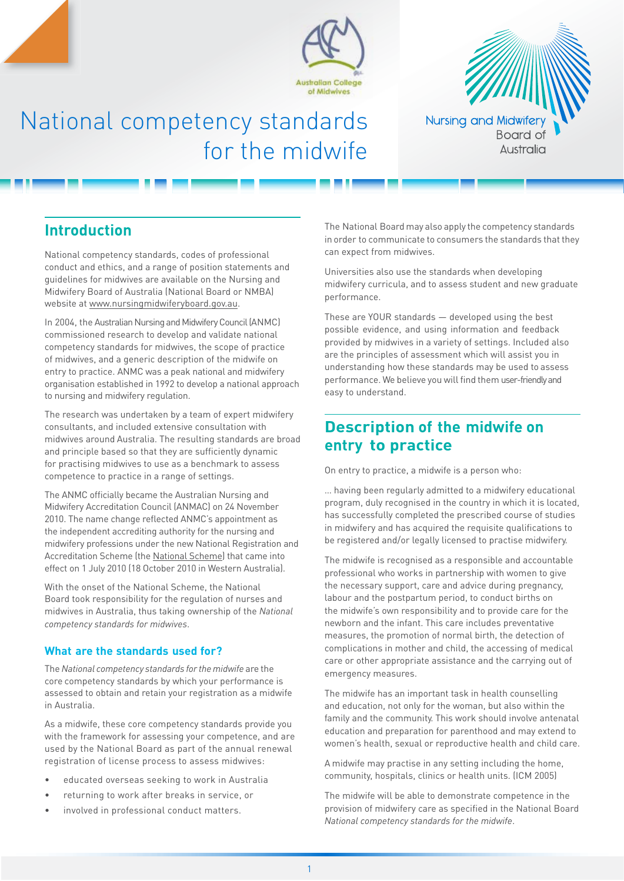



# National competency standards for the midwife

## **Introduction**

National competency standards, codes of professional conduct and ethics, and a range of position statements and guidelines for midwives are available on the Nursing and Midwifery Board of Australia (National Board or NMBA) website at [www.nursingmidwiferyboard.gov.au.](http://www.nursingmidwiferyboard.gov.au/)

In 2004, the Australian Nursing and Midwifery Council (ANMC) commissioned research to develop and validate national competency standards for midwives, the scope of practice of midwives, and a generic description of the midwife on entry to practice. ANMC was a peak national and midwifery organisation established in 1992 to develop a national approach to nursing and midwifery regulation.

The research was undertaken by a team of expert midwifery consultants, and included extensive consultation with midwives around Australia. The resulting standards are broad and principle based so that they are sufficiently dynamic for practising midwives to use as a benchmark to assess competence to practice in a range of settings.

The ANMC officially became the Australian Nursing and Midwifery Accreditation Council (ANMAC) on 24 November 2010. The name change reflected ANMC's appointment as the independent accrediting authority for the nursing and midwifery professions under the new National Registration and Accreditation Scheme (the [National Scheme](http://www.ahpra.gov.au/Support/FAQ.aspx)) that came into effect on 1 July 2010 (18 October 2010 in Western Australia).

With the onset of the National Scheme, the National Board took responsibility for the regulation of nurses and midwives in Australia, thus taking ownership of the *National competency standards for midwives*.

## **What are the standards used for?**

The*National competency standards forthe midwife* are the core competency standards by which your performance is assessed to obtain and retain your registration as a midwife in Australia.

As a midwife, these core competency standards provide you with the framework for assessing your competence, and are used by the National Board as part of the annual renewal registration of license process to assess midwives:

- educated overseas seeking to work in Australia
- returning to work after breaks in service, or
- involved in professional conduct matters.

The National Board may also apply the competency standards in order to communicate to consumers the standards that they can expect from midwives.

Universities also use the standards when developing midwifery curricula, and to assess student and new graduate performance.

These are YOUR standards — developed using the best possible evidence, and using information and feedback provided by midwives in a variety of settings. Included also are the principles of assessment which will assist you in understanding how these standards may be used to assess performance. We believe you will find them user-friendly and easy to understand.

## **Description of the midwife on entry to practice**

On entry to practice, a midwife is a person who:

… having been regularly admitted to a midwifery educational program, duly recognised in the country in which it is located, has successfully completed the prescribed course of studies in midwifery and has acquired the requisite qualifications to be registered and/or legally licensed to practise midwifery.

The midwife is recognised as a responsible and accountable professional who works in partnership with women to give the necessary support, care and advice during pregnancy, labour and the postpartum period, to conduct births on the midwife's own responsibility and to provide care for the newborn and the infant. This care includes preventative measures, the promotion of normal birth, the detection of complications in mother and child, the accessing of medical care or other appropriate assistance and the carrying out of emergency measures.

The midwife has an important task in health counselling and education, not only for the woman, but also within the family and the community. This work should involve antenatal education and preparation for parenthood and may extend to women's health, sexual or reproductive health and child care.

A midwife may practise in any setting including the home, community, hospitals, clinics or health units. (ICM 2005)

The midwife will be able to demonstrate competence in the provision of midwifery care as specified in the National Board *National competency standards for the midwife*.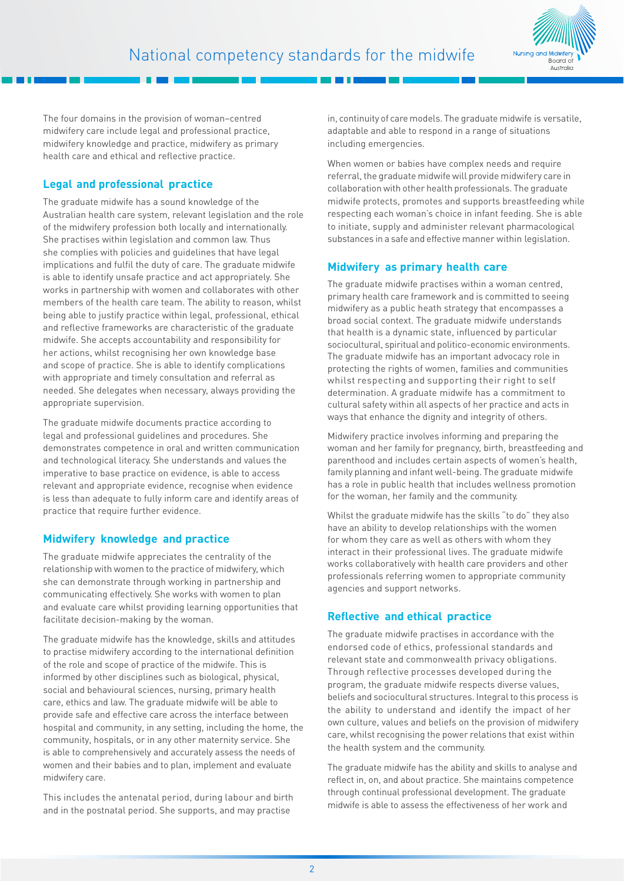

The four domains in the provision of woman–centred midwifery care include legal and professional practice, midwifery knowledge and practice, midwifery as primary health care and ethical and reflective practice.

## **Legal and professional practice**

The graduate midwife has a sound knowledge of the Australian health care system, relevant legislation and the role of the midwifery profession both locally and internationally. She practises within legislation and common law. Thus she complies with policies and guidelines that have legal implications and fulfil the duty of care. The graduate midwife is able to identify unsafe practice and act appropriately. She works in partnership with women and collaborates with other members of the health care team. The ability to reason, whilst being able to justify practice within legal, professional, ethical and reflective frameworks are characteristic of the graduate midwife. She accepts accountability and responsibility for her actions, whilst recognising her own knowledge base and scope of practice. She is able to identify complications with appropriate and timely consultation and referral as needed. She delegates when necessary, always providing the appropriate supervision.

The graduate midwife documents practice according to legal and professional guidelines and procedures. She demonstrates competence in oral and written communication and technological literacy. She understands and values the imperative to base practice on evidence, is able to access relevant and appropriate evidence, recognise when evidence is less than adequate to fully inform care and identify areas of practice that require further evidence.

## **Midwifery knowledge and practice**

The graduate midwife appreciates the centrality of the relationship with women to the practice of midwifery, which she can demonstrate through working in partnership and communicating effectively. She works with women to plan and evaluate care whilst providing learning opportunities that facilitate decision-making by the woman.

The graduate midwife has the knowledge, skills and attitudes to practise midwifery according to the international definition of the role and scope of practice of the midwife. This is informed by other disciplines such as biological, physical, social and behavioural sciences, nursing, primary health care, ethics and law. The graduate midwife will be able to provide safe and effective care across the interface between hospital and community, in any setting, including the home, the community, hospitals, or in any other maternity service. She is able to comprehensively and accurately assess the needs of women and their babies and to plan, implement and evaluate midwifery care.

This includes the antenatal period, during labour and birth and in the postnatal period. She supports, and may practise

in, continuity of care models. The graduate midwife is versatile, adaptable and able to respond in a range of situations including emergencies.

When women or babies have complex needs and require referral, the graduate midwife will provide midwifery care in collaboration with other health professionals. The graduate midwife protects, promotes and supports breastfeeding while respecting each woman's choice in infant feeding. She is able to initiate, supply and administer relevant pharmacological substances in a safe and effective manner within legislation.

## **Midwifery as primary health care**

The graduate midwife practises within a woman centred, primary health care framework and is committed to seeing midwifery as a public heath strategy that encompasses a broad social context. The graduate midwife understands that health is a dynamic state, influenced by particular sociocultural, spiritual and politico-economic environments. The graduate midwife has an important advocacy role in protecting the rights of women, families and communities whilst respecting and supporting their right to self determination. A graduate midwife has a commitment to cultural safety within all aspects of her practice and acts in ways that enhance the dignity and integrity of others.

Midwifery practice involves informing and preparing the woman and her family for pregnancy, birth, breastfeeding and parenthood and includes certain aspects of women's health, family planning and infant well-being. The graduate midwife has a role in public health that includes wellness promotion for the woman, her family and the community.

Whilst the graduate midwife has the skills "to do" they also have an ability to develop relationships with the women for whom they care as well as others with whom they interact in their professional lives. The graduate midwife works collaboratively with health care providers and other professionals referring women to appropriate community agencies and support networks.

## **Reflective and ethical practice**

The graduate midwife practises in accordance with the endorsed code of ethics, professional standards and relevant state and commonwealth privacy obligations. Through reflective processes developed during the program, the graduate midwife respects diverse values, beliefs and sociocultural structures. Integral to this process is the ability to understand and identify the impact of her own culture, values and beliefs on the provision of midwifery care, whilst recognising the power relations that exist within the health system and the community.

The graduate midwife has the ability and skills to analyse and reflect in, on, and about practice. She maintains competence through continual professional development. The graduate midwife is able to assess the effectiveness of her work and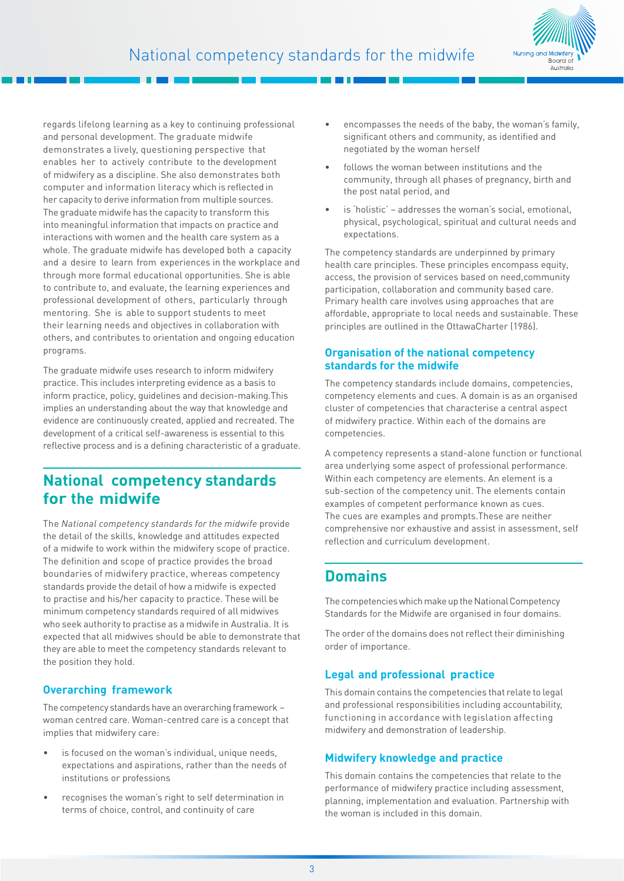

regards lifelong learning as a key to continuing professional and personal development. The graduate midwife demonstrates a lively, questioning perspective that enables her to actively contribute to the development of midwifery as a discipline. She also demonstrates both computer and information literacy which is reflected in her capacity to derive information from multiple sources. The graduate midwife has the capacity to transform this into meaningful information that impacts on practice and interactions with women and the health care system as a whole. The graduate midwife has developed both a capacity and a desire to learn from experiences in the workplace and through more formal educational opportunities. She is able to contribute to, and evaluate, the learning experiences and professional development of others, particularly through mentoring. She is able to support students to meet their learning needs and objectives in collaboration with others, and contributes to orientation and ongoing education programs.

The graduate midwife uses research to inform midwifery practice. This includes interpreting evidence as a basis to inform practice, policy, guidelines and decision-making.This implies an understanding about the way that knowledge and evidence are continuously created, applied and recreated. The development of a critical self-awareness is essential to this reflective process and is a defining characteristic of a graduate.

## **National competency standards for the midwife**

The *National competency standards for the midwife* provide the detail of the skills, knowledge and attitudes expected of a midwife to work within the midwifery scope of practice. The definition and scope of practice provides the broad boundaries of midwifery practice, whereas competency standards provide the detail of how a midwife is expected to practise and his/her capacity to practice. These will be minimum competency standards required of all midwives who seek authority to practise as a midwife in Australia. It is expected that all midwives should be able to demonstrate that they are able to meet the competency standards relevant to the position they hold.

## **Overarching framework**

The competency standards have an overarching framework – woman centred care. Woman-centred care is a concept that implies that midwifery care:

- is focused on the woman's individual, unique needs, expectations and aspirations, rather than the needs of institutions or professions
- recognises the woman's right to self determination in terms of choice, control, and continuity of care
- encompasses the needs of the baby, the woman's family, significant others and community, as identified and negotiated by the woman herself
- follows the woman between institutions and the community, through all phases of pregnancy, birth and the post natal period, and
- is 'holistic' addresses the woman's social, emotional, physical, psychological, spiritual and cultural needs and expectations.

The competency standards are underpinned by primary health care principles. These principles encompass equity, access, the provision of services based on need,community participation, collaboration and community based care. Primary health care involves using approaches that are affordable, appropriate to local needs and sustainable. These principles are outlined in the OttawaCharter (1986).

## **Organisation of the national competency standards for the midwife**

The competency standards include domains, competencies, competency elements and cues. A domain is as an organised cluster of competencies that characterise a central aspect of midwifery practice. Within each of the domains are competencies.

A competency represents a stand-alone function or functional area underlying some aspect of professional performance. Within each competency are elements. An element is a sub-section of the competency unit. The elements contain examples of competent performance known as cues. The cues are examples and prompts.These are neither comprehensive nor exhaustive and assist in assessment, self reflection and curriculum development.

## **Domains**

The competencies which make up the National Competency Standards for the Midwife are organised in four domains.

The order of the domains does not reflect their diminishing order of importance.

## **Legal and professional practice**

This domain contains the competencies that relate to legal and professional responsibilities including accountability, functioning in accordance with legislation affecting midwifery and demonstration of leadership.

## **Midwifery knowledge and practice**

This domain contains the competencies that relate to the performance of midwifery practice including assessment, planning, implementation and evaluation. Partnership with the woman is included in this domain.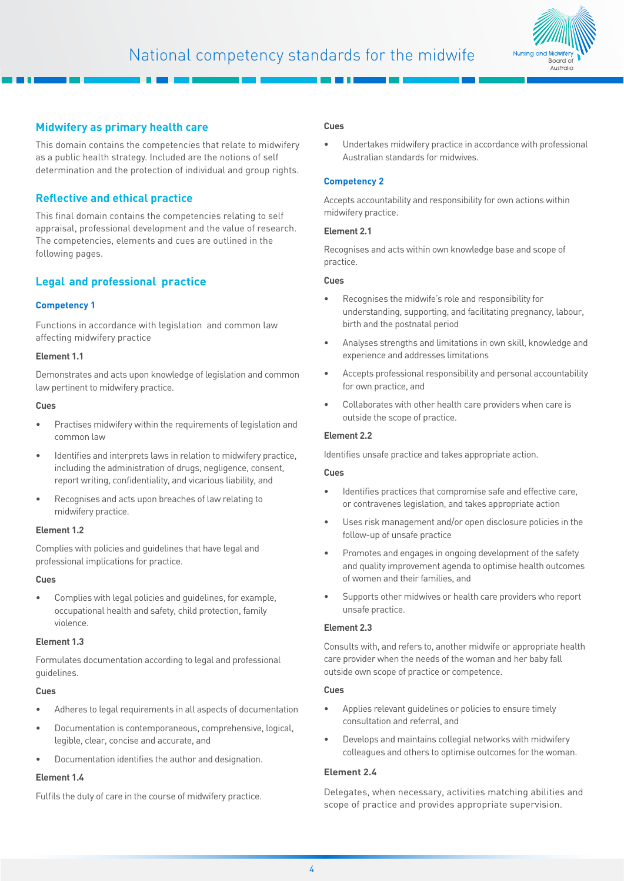

## **Midwifery as primary health care**

This domain contains the competencies that relate to midwifery as a public health strategy. Included are the notions of self determination and the protection of individual and group rights.

## **Reflective and ethical practice**

This final domain contains the competencies relating to self appraisal, professional development and the value of research. The competencies, elements and cues are outlined in the following pages.

## **Legal and professional practice**

## **Competency 1**

Functions in accordance with legislation and common law affecting midwifery practice

#### **Element 1.1**

Demonstrates and acts upon knowledge of legislation and common law pertinent to midwifery practice.

## **Cues**

- Practises midwifery within the requirements of legislation and common law
- Identifies and interprets laws in relation to midwifery practice, including the administration of drugs, negligence, consent, report writing, confidentiality, and vicarious liability, and
- Recognises and acts upon breaches of law relating to midwifery practice.

## **Element 1.2**

Complies with policies and guidelines that have legal and professional implications for practice.

#### **Cues**

• Complies with legal policies and guidelines, for example, occupational health and safety, child protection, family violence.

#### **Element 1.3**

Formulates documentation according to legal and professional guidelines.

#### **Cues**

- Adheres to legal requirements in all aspects of documentation
- Documentation is contemporaneous, comprehensive, logical, legible, clear, concise and accurate, and
- Documentation identifies the author and designation.

## **Element 1.4**

Fulfils the duty of care in the course of midwifery practice.

#### **Cues**

Undertakes midwifery practice in accordance with professional Australian standards for midwives.

## **Competency 2**

Accepts accountability and responsibility for own actions within midwifery practice.

#### **Element 2.1**

Recognises and acts within own knowledge base and scope of practice.

#### **Cues**

- Recognises the midwife's role and responsibility for understanding, supporting, and facilitating pregnancy, labour, birth and the postnatal period
- Analyses strengths and limitations in own skill, knowledge and experience and addresses limitations
- Accepts professional responsibility and personal accountability for own practice, and
- Collaborates with other health care providers when care is outside the scope of practice.

### **Element 2.2**

Identifies unsafe practice and takes appropriate action.

#### **Cues**

- Identifies practices that compromise safe and effective care. or contravenes legislation, and takes appropriate action
- Uses risk management and/or open disclosure policies in the follow-up of unsafe practice
- Promotes and engages in ongoing development of the safety and quality improvement agenda to optimise health outcomes of women and their families, and
- Supports other midwives or health care providers who report unsafe practice.

## **Element 2.3**

Consults with, and refers to, another midwife or appropriate health care provider when the needs of the woman and her baby fall outside own scope of practice or competence.

#### **Cues**

- Applies relevant quidelines or policies to ensure timely consultation and referral, and
- Develops and maintains collegial networks with midwifery colleagues and others to optimise outcomes for the woman.

## **Element 2.4**

Delegates, when necessary, activities matching abilities and scope of practice and provides appropriate supervision.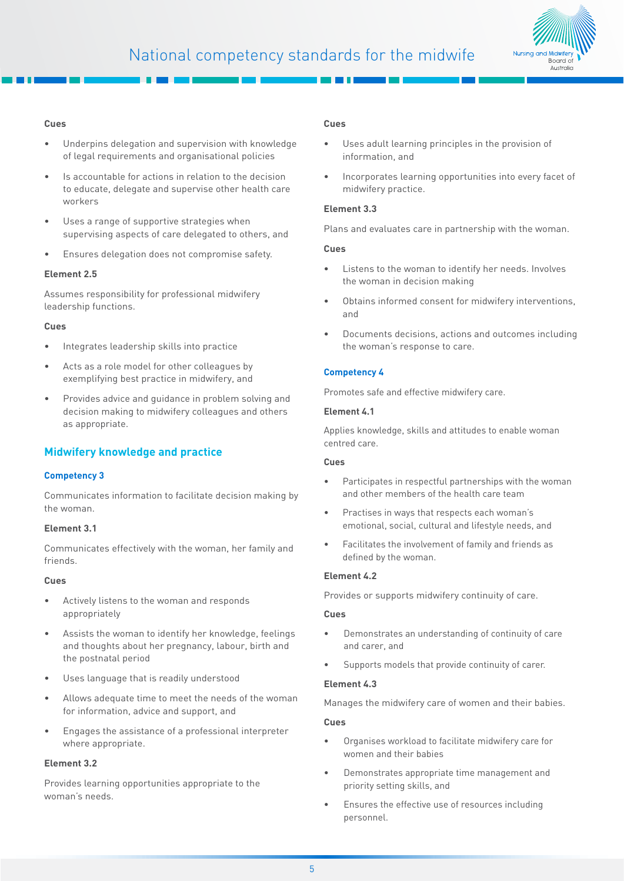

#### **Cues**

- Underpins delegation and supervision with knowledge of legal requirements and organisational policies
- Is accountable for actions in relation to the decision to educate, delegate and supervise other health care workers
- Uses a range of supportive strategies when supervising aspects of care delegated to others, and
- Ensures delegation does not compromise safety.

#### **Element 2.5**

Assumes responsibility for professional midwifery leadership functions.

#### **Cues**

- Integrates leadership skills into practice
- Acts as a role model for other colleagues by exemplifying best practice in midwifery, and
- Provides advice and guidance in problem solving and decision making to midwifery colleagues and others as appropriate.

## **Midwifery knowledge and practice**

## **Competency 3**

Communicates information to facilitate decision making by the woman.

#### **Element 3.1**

Communicates effectively with the woman, her family and friends.

#### **Cues**

- Actively listens to the woman and responds appropriately
- Assists the woman to identify her knowledge, feelings and thoughts about her pregnancy, labour, birth and the postnatal period
- Uses language that is readily understood
- Allows adequate time to meet the needs of the woman for information, advice and support, and
- Engages the assistance of a professional interpreter where appropriate.

## **Element 3.2**

Provides learning opportunities appropriate to the woman's needs.

#### **Cues**

- Uses adult learning principles in the provision of information, and
- Incorporates learning opportunities into every facet of midwifery practice.

#### **Element 3.3**

Plans and evaluates care in partnership with the woman.

#### **Cues**

- Listens to the woman to identify her needs. Involves the woman in decision making
- Obtains informed consent for midwifery interventions, and
- Documents decisions, actions and outcomes including the woman's response to care.

## **Competency 4**

Promotes safe and effective midwifery care.

## **Element 4.1**

Applies knowledge, skills and attitudes to enable woman centred care.

#### **Cues**

- Participates in respectful partnerships with the woman and other members of the health care team
- Practises in ways that respects each woman's emotional, social, cultural and lifestyle needs, and
- Facilitates the involvement of family and friends as defined by the woman.

## **Element 4.2**

Provides or supports midwifery continuity of care.

#### **Cues**

- Demonstrates an understanding of continuity of care and carer, and
- Supports models that provide continuity of carer.

#### **Element 4.3**

Manages the midwifery care of women and their babies.

- Organises workload to facilitate midwifery care for women and their babies
- Demonstrates appropriate time management and priority setting skills, and
- Ensures the effective use of resources including personnel.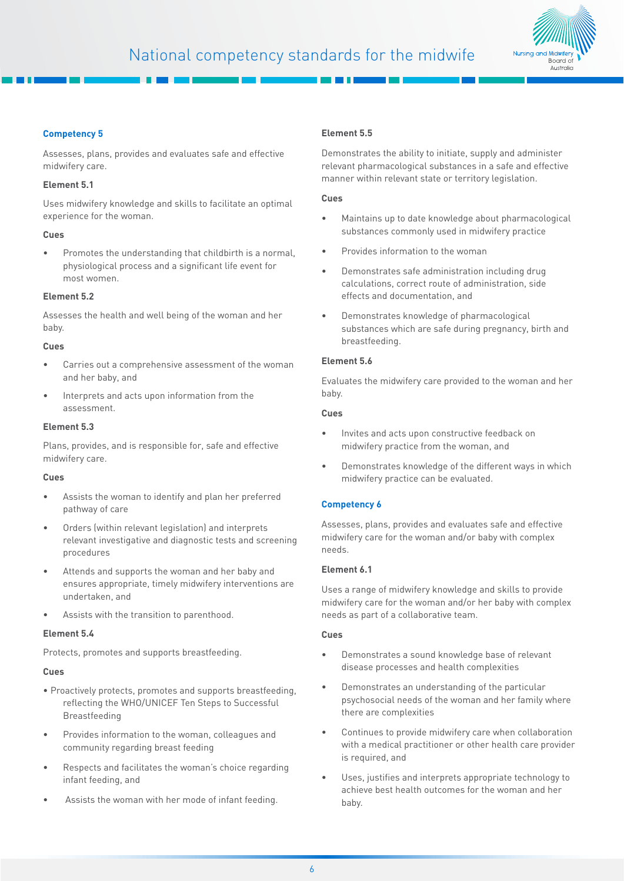

## **Competency 5**

Assesses, plans, provides and evaluates safe and effective midwifery care.

### **Element 5.1**

Uses midwifery knowledge and skills to facilitate an optimal experience for the woman.

## **Cues**

• Promotes the understanding that childbirth is a normal, physiological process and a significant life event for most women.

## **Element 5.2**

Assesses the health and well being of the woman and her baby.

## **Cues**

- Carries out a comprehensive assessment of the woman and her baby, and
- Interprets and acts upon information from the assessment.

## **Element 5.3**

Plans, provides, and is responsible for, safe and effective midwifery care.

## **Cues**

- Assists the woman to identify and plan her preferred pathway of care
- Orders (within relevant legislation) and interprets relevant investigative and diagnostic tests and screening procedures
- Attends and supports the woman and her baby and ensures appropriate, timely midwifery interventions are undertaken, and
- Assists with the transition to parenthood.

## **Element 5.4**

Protects, promotes and supports breastfeeding.

## **Cues**

- Proactively protects, promotes and supports breastfeeding, reflecting the WHO/UNICEF Ten Steps to Successful Breastfeeding
- Provides information to the woman, colleagues and community regarding breast feeding
- Respects and facilitates the woman's choice regarding infant feeding, and
- Assists the woman with her mode of infant feeding.

## **Element 5.5**

Demonstrates the ability to initiate, supply and administer relevant pharmacological substances in a safe and effective manner within relevant state or territory legislation.

### **Cues**

- Maintains up to date knowledge about pharmacological substances commonly used in midwifery practice
- Provides information to the woman
- Demonstrates safe administration including drug calculations, correct route of administration, side effects and documentation, and
- Demonstrates knowledge of pharmacological substances which are safe during pregnancy, birth and breastfeeding.

## **Element 5.6**

Evaluates the midwifery care provided to the woman and her baby.

## **Cues**

- Invites and acts upon constructive feedback on midwifery practice from the woman, and
- Demonstrates knowledge of the different ways in which midwifery practice can be evaluated.

## **Competency 6**

Assesses, plans, provides and evaluates safe and effective midwifery care for the woman and/or baby with complex needs.

## **Element 6.1**

Uses a range of midwifery knowledge and skills to provide midwifery care for the woman and/or her baby with complex needs as part of a collaborative team.

- Demonstrates a sound knowledge base of relevant disease processes and health complexities
- Demonstrates an understanding of the particular psychosocial needs of the woman and her family where there are complexities
- Continues to provide midwifery care when collaboration with a medical practitioner or other health care provider is required, and
- Uses, justifies and interprets appropriate technology to achieve best health outcomes for the woman and her baby.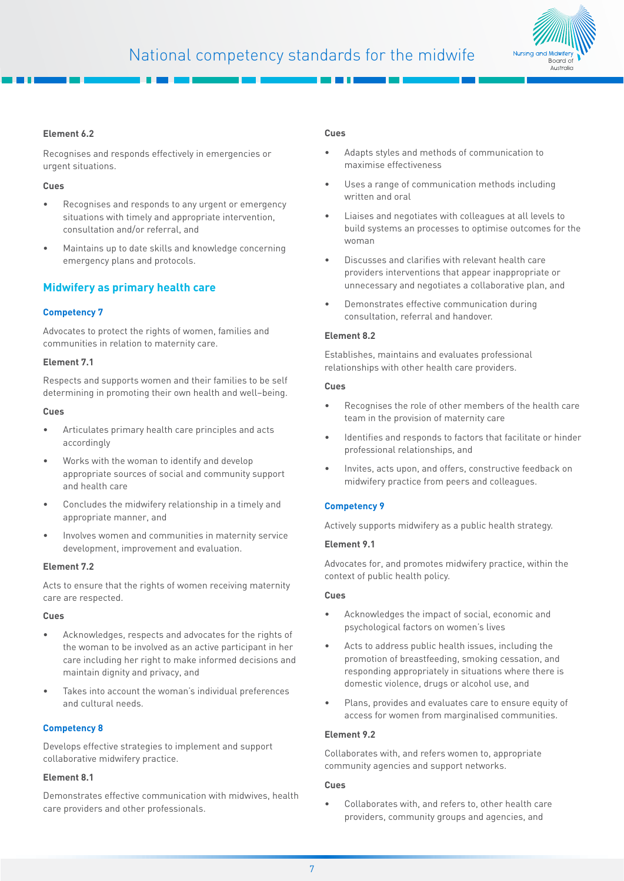

## **Element 6.2**

Recognises and responds effectively in emergencies or urgent situations.

## **Cues**

- Recognises and responds to any urgent or emergency situations with timely and appropriate intervention, consultation and/or referral, and
- Maintains up to date skills and knowledge concerning emergency plans and protocols.

## **Midwifery as primary health care**

## **Competency 7**

Advocates to protect the rights of women, families and communities in relation to maternity care.

#### **Element 7.1**

Respects and supports women and their families to be self determining in promoting their own health and well–being.

#### **Cues**

- Articulates primary health care principles and acts accordingly
- Works with the woman to identify and develop appropriate sources of social and community support and health care
- Concludes the midwifery relationship in a timely and appropriate manner, and
- Involves women and communities in maternity service development, improvement and evaluation.

#### **Element 7.2**

Acts to ensure that the rights of women receiving maternity care are respected.

#### **Cues**

- Acknowledges, respects and advocates for the rights of the woman to be involved as an active participant in her care including her right to make informed decisions and maintain dignity and privacy, and
- Takes into account the woman's individual preferences and cultural needs.

## **Competency 8**

Develops effective strategies to implement and support collaborative midwifery practice.

#### **Element 8.1**

Demonstrates effective communication with midwives, health care providers and other professionals.

#### **Cues**

- Adapts styles and methods of communication to maximise effectiveness
- Uses a range of communication methods including written and oral
- Liaises and negotiates with colleagues at all levels to build systems an processes to optimise outcomes for the woman
- Discusses and clarifies with relevant health care providers interventions that appear inappropriate or unnecessary and negotiates a collaborative plan, and
- Demonstrates effective communication during consultation, referral and handover.

### **Element 8.2**

Establishes, maintains and evaluates professional relationships with other health care providers.

#### **Cues**

- Recognises the role of other members of the health care team in the provision of maternity care
- Identifies and responds to factors that facilitate or hinder professional relationships, and
- Invites, acts upon, and offers, constructive feedback on midwifery practice from peers and colleagues.

## **Competency 9**

Actively supports midwifery as a public health strategy.

## **Element 9.1**

Advocates for, and promotes midwifery practice, within the context of public health policy.

## **Cues**

- Acknowledges the impact of social, economic and psychological factors on women's lives
- Acts to address public health issues, including the promotion of breastfeeding, smoking cessation, and responding appropriately in situations where there is domestic violence, drugs or alcohol use, and
- Plans, provides and evaluates care to ensure equity of access for women from marginalised communities.

## **Element 9.2**

Collaborates with, and refers women to, appropriate community agencies and support networks.

## **Cues**

• Collaborates with, and refers to, other health care providers, community groups and agencies, and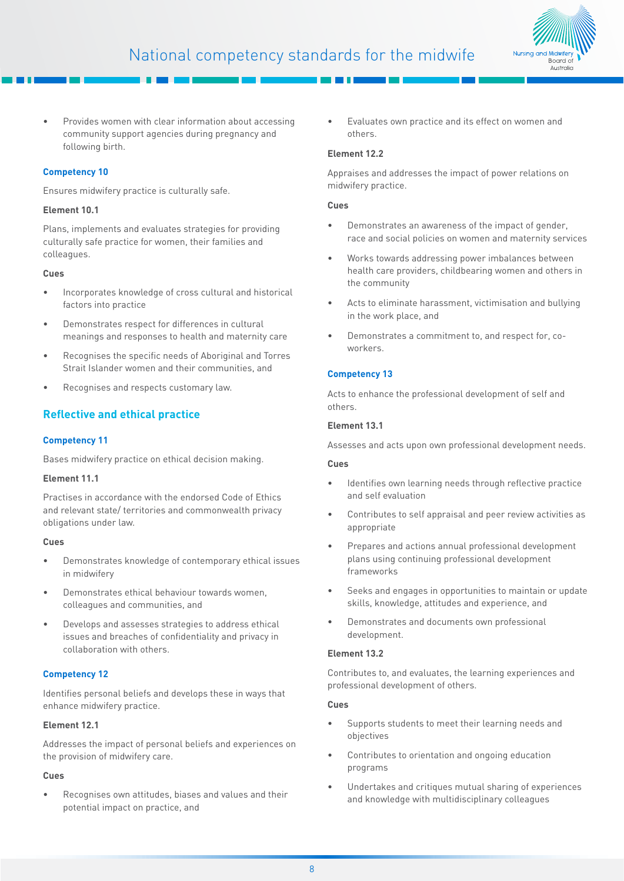

• Provides women with clear information about accessing community support agencies during pregnancy and following birth.

## **Competency 10**

Ensures midwifery practice is culturally safe.

## **Element 10.1**

Plans, implements and evaluates strategies for providing culturally safe practice for women, their families and colleagues.

## **Cues**

- Incorporates knowledge of cross cultural and historical factors into practice
- Demonstrates respect for differences in cultural meanings and responses to health and maternity care
- Recognises the specific needs of Aboriginal and Torres Strait Islander women and their communities, and
- Recognises and respects customary law.

## **Reflective and ethical practice**

## **Competency 11**

Bases midwifery practice on ethical decision making.

## **Element 11.1**

Practises in accordance with the endorsed Code of Ethics and relevant state/ territories and commonwealth privacy obligations under law.

## **Cues**

- Demonstrates knowledge of contemporary ethical issues in midwifery
- Demonstrates ethical behaviour towards women, colleagues and communities, and
- Develops and assesses strategies to address ethical issues and breaches of confidentiality and privacy in collaboration with others.

## **Competency 12**

Identifies personal beliefs and develops these in ways that enhance midwifery practice.

## **Element 12.1**

Addresses the impact of personal beliefs and experiences on the provision of midwifery care.

## **Cues**

• Recognises own attitudes, biases and values and their potential impact on practice, and

• Evaluates own practice and its effect on women and others.

## **Element 12.2**

Appraises and addresses the impact of power relations on midwifery practice.

## **Cues**

- Demonstrates an awareness of the impact of gender, race and social policies on women and maternity services
- Works towards addressing power imbalances between health care providers, childbearing women and others in the community
- Acts to eliminate harassment, victimisation and bullying in the work place, and
- Demonstrates a commitment to, and respect for, coworkers.

## **Competency 13**

Acts to enhance the professional development of self and others.

## **Element 13.1**

Assesses and acts upon own professional development needs.

## **Cues**

- Identifies own learning needs through reflective practice and self evaluation
- Contributes to self appraisal and peer review activities as appropriate
- Prepares and actions annual professional development plans using continuing professional development frameworks
- Seeks and engages in opportunities to maintain or update skills, knowledge, attitudes and experience, and
- Demonstrates and documents own professional development.

## **Element 13.2**

Contributes to, and evaluates, the learning experiences and professional development of others.

- Supports students to meet their learning needs and objectives
- Contributes to orientation and ongoing education programs
- Undertakes and critiques mutual sharing of experiences and knowledge with multidisciplinary colleagues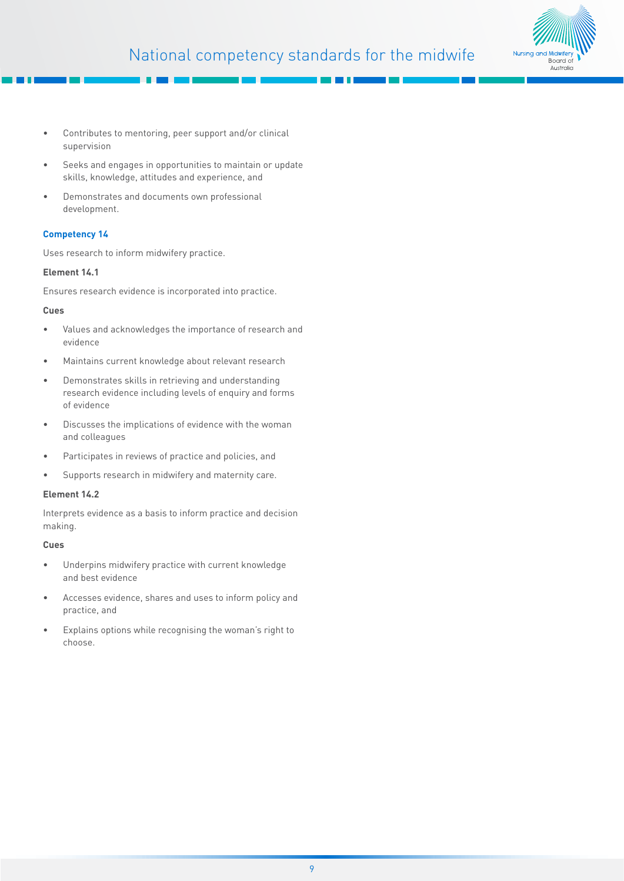

- Contributes to mentoring, peer support and/or clinical supervision
- Seeks and engages in opportunities to maintain or update skills, knowledge, attitudes and experience, and
- Demonstrates and documents own professional development.

## **Competency 14**

Uses research to inform midwifery practice.

## **Element 14.1**

Ensures research evidence is incorporated into practice.

## **Cues**

- Values and acknowledges the importance of research and evidence
- Maintains current knowledge about relevant research
- Demonstrates skills in retrieving and understanding research evidence including levels of enquiry and forms of evidence
- Discusses the implications of evidence with the woman and colleagues
- Participates in reviews of practice and policies, and
- Supports research in midwifery and maternity care.

## **Element 14.2**

Interprets evidence as a basis to inform practice and decision making.

- Underpins midwifery practice with current knowledge and best evidence
- Accesses evidence, shares and uses to inform policy and practice, and
- Explains options while recognising the woman's right to choose.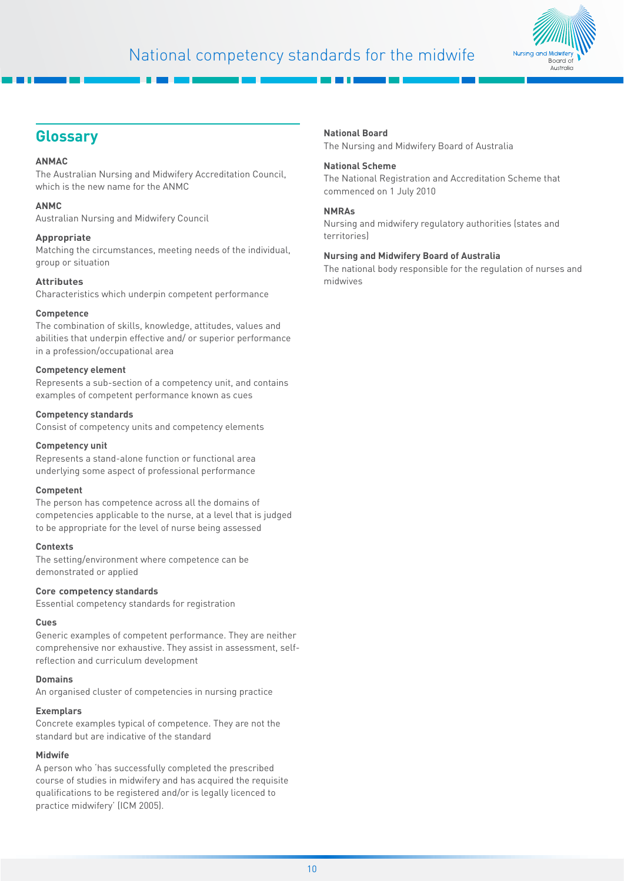

## **Glossary**

## **ANMAC**

The Australian Nursing and Midwifery Accreditation Council, which is the new name for the ANMC

## **ANMC**

Australian Nursing and Midwifery Council

## **Appropriate**

Matching the circumstances, meeting needs of the individual, group or situation

## **Attributes**

Characteristics which underpin competent performance

## **Competence**

The combination of skills, knowledge, attitudes, values and abilities that underpin effective and/ or superior performance in a profession/occupational area

## **Competency element**

Represents a sub-section of a competency unit, and contains examples of competent performance known as cues

## **Competency standards**

Consist of competency units and competency elements

## **Competency unit**

Represents a stand-alone function or functional area underlying some aspect of professional performance

## **Competent**

The person has competence across all the domains of competencies applicable to the nurse, at a level that is judged to be appropriate for the level of nurse being assessed

## **Contexts**

The setting/environment where competence can be demonstrated or applied

## **Core competency standards**

Essential competency standards for registration

## **Cues**

Generic examples of competent performance. They are neither comprehensive nor exhaustive. They assist in assessment, selfreflection and curriculum development

## **Domains**

An organised cluster of competencies in nursing practice

## **Exemplars**

Concrete examples typical of competence. They are not the standard but are indicative of the standard

## **Midwife**

A person who 'has successfully completed the prescribed course of studies in midwifery and has acquired the requisite qualifications to be registered and/or is legally licenced to practice midwifery' ([ICM 2005](http://www.internationalmidwives.org/who-we-are/policy-and-practice/icm-international-definition-of-the-midwife/)).

## **National Board**

The Nursing and Midwifery Board of Australia

## **National Scheme**

The National Registration and Accreditation Scheme that commenced on 1 July 2010

## **NMRAs**

Nursing and midwifery regulatory authorities (states and territories)

## **Nursing and Midwifery Board of Australia**

The national body responsible for the regulation of nurses and midwives